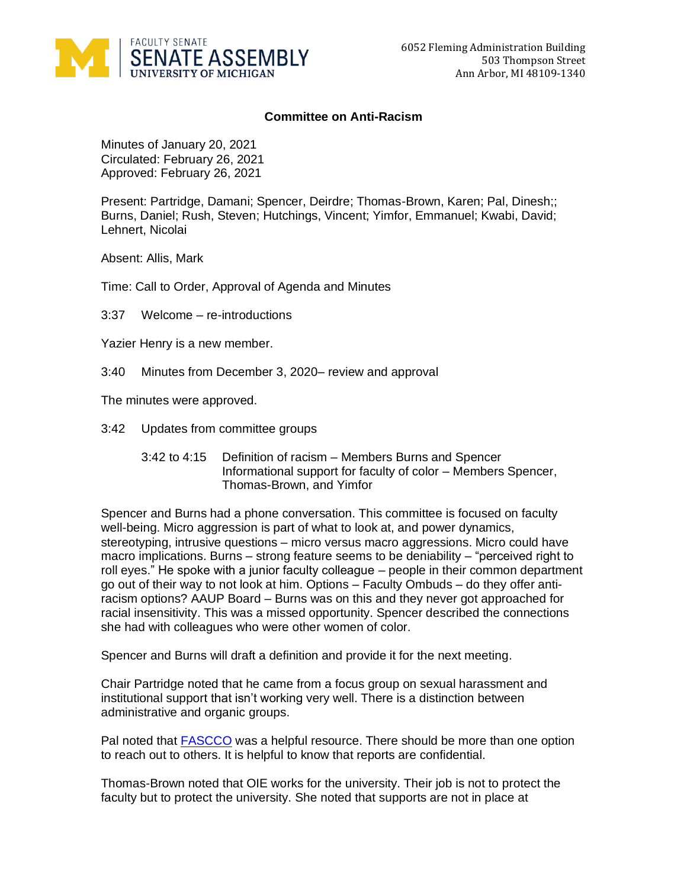

## **Committee on Anti-Racism**

Minutes of January 20, 2021 Circulated: February 26, 2021 Approved: February 26, 2021

Present: Partridge, Damani; Spencer, Deirdre; Thomas-Brown, Karen; Pal, Dinesh;; Burns, Daniel; Rush, Steven; Hutchings, Vincent; Yimfor, Emmanuel; Kwabi, David; Lehnert, Nicolai

Absent: Allis, Mark

Time: Call to Order, Approval of Agenda and Minutes

3:37 Welcome – re-introductions

Yazier Henry is a new member.

3:40 Minutes from December 3, 2020– review and approval

The minutes were approved.

- 3:42 Updates from committee groups
	- 3:42 to 4:15 Definition of racism Members Burns and Spencer Informational support for faculty of color – Members Spencer, Thomas-Brown, and Yimfor

Spencer and Burns had a phone conversation. This committee is focused on faculty well-being. Micro aggression is part of what to look at, and power dynamics, stereotyping, intrusive questions – micro versus macro aggressions. Micro could have macro implications. Burns – strong feature seems to be deniability – "perceived right to roll eyes." He spoke with a junior faculty colleague – people in their common department go out of their way to not look at him. Options – Faculty Ombuds – do they offer antiracism options? AAUP Board – Burns was on this and they never got approached for racial insensitivity. This was a missed opportunity. Spencer described the connections she had with colleagues who were other women of color.

Spencer and Burns will draft a definition and provide it for the next meeting.

Chair Partridge noted that he came from a focus group on sexual harassment and institutional support that isn't working very well. There is a distinction between administrative and organic groups.

Pal noted that [FASCCO](https://hr.umich.edu/benefits-wellness/health-well-being/mental-emotional-health/mental-health-counseling-consultation-services/faculty-staff-counseling-consultation-office-fascco) was a helpful resource. There should be more than one option to reach out to others. It is helpful to know that reports are confidential.

Thomas-Brown noted that OIE works for the university. Their job is not to protect the faculty but to protect the university. She noted that supports are not in place at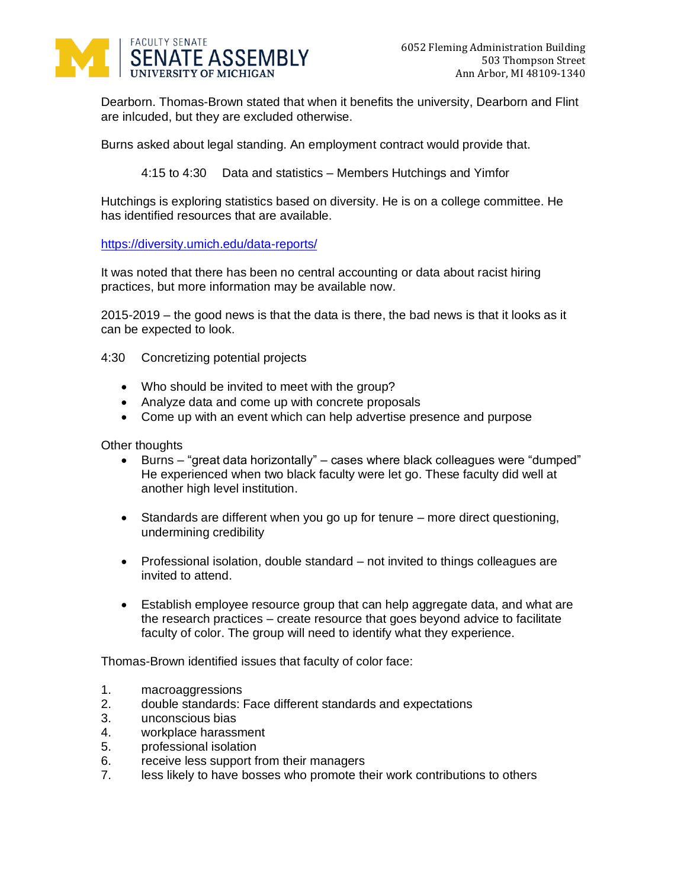

Dearborn. Thomas-Brown stated that when it benefits the university, Dearborn and Flint are inlcuded, but they are excluded otherwise.

Burns asked about legal standing. An employment contract would provide that.

4:15 to 4:30 Data and statistics – Members Hutchings and Yimfor

Hutchings is exploring statistics based on diversity. He is on a college committee. He has identified resources that are available.

<https://diversity.umich.edu/data-reports/>

It was noted that there has been no central accounting or data about racist hiring practices, but more information may be available now.

2015-2019 – the good news is that the data is there, the bad news is that it looks as it can be expected to look.

- 4:30 Concretizing potential projects
	- Who should be invited to meet with the group?
	- Analyze data and come up with concrete proposals
	- Come up with an event which can help advertise presence and purpose

Other thoughts

- Burns "great data horizontally" cases where black colleagues were "dumped" He experienced when two black faculty were let go. These faculty did well at another high level institution.
- Standards are different when you go up for tenure more direct questioning, undermining credibility
- Professional isolation, double standard not invited to things colleagues are invited to attend.
- Establish employee resource group that can help aggregate data, and what are the research practices – create resource that goes beyond advice to facilitate faculty of color. The group will need to identify what they experience.

Thomas-Brown identified issues that faculty of color face:

- 1. macroaggressions
- 2. double standards: Face different standards and expectations
- 3. unconscious bias
- 4. workplace harassment
- 5. professional isolation
- 6. receive less support from their managers
- 7. less likely to have bosses who promote their work contributions to others